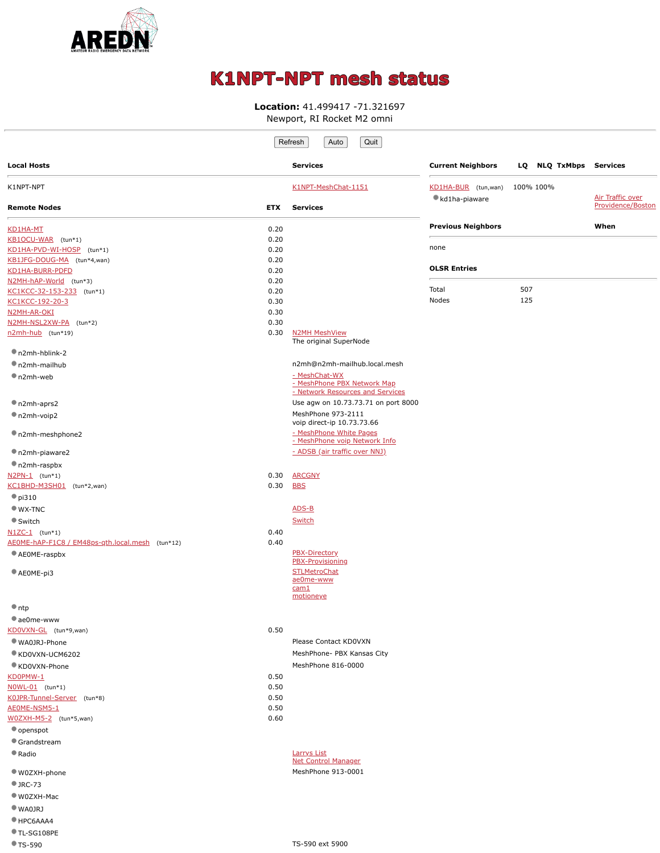

## **K1NPT-NPT mesh status**

## **Location:** 41.499417 -71.321697

Newport, RI Rocket M2 omni

|                                                         |              | Quit<br>Refresh<br>Auto                                                          |                                       |                        |                   |
|---------------------------------------------------------|--------------|----------------------------------------------------------------------------------|---------------------------------------|------------------------|-------------------|
| <b>Local Hosts</b>                                      |              | <b>Services</b>                                                                  | <b>Current Neighbors</b>              | LQ NLQ TxMbps Services |                   |
| K1NPT-NPT                                               |              | K1NPT-MeshChat-1151                                                              | KD1HA-BUR (tun, wan)<br>kd1ha-piaware | 100% 100%              | Air Traffic over  |
| <b>Remote Nodes</b>                                     | <b>ETX</b>   | <b>Services</b>                                                                  |                                       |                        | Providence/Boston |
| KD1HA-MT                                                | 0.20         |                                                                                  | <b>Previous Neighbors</b>             |                        | When              |
| KB1OCU-WAR (tun*1)                                      | 0.20         |                                                                                  | none                                  |                        |                   |
| KD1HA-PVD-WI-HOSP (tun*1)<br>KB1JFG-DOUG-MA (tun*4,wan) | 0.20<br>0.20 |                                                                                  |                                       |                        |                   |
| KD1HA-BURR-PDFD                                         | 0.20         |                                                                                  | <b>OLSR Entries</b>                   |                        |                   |
| N2MH-hAP-World (tun*3)                                  | 0.20         |                                                                                  |                                       |                        |                   |
| KC1KCC-32-153-233 (tun*1)                               | 0.20         |                                                                                  | Total                                 | 507                    |                   |
| KC1KCC-192-20-3                                         | 0.30         |                                                                                  | Nodes                                 | 125                    |                   |
| N2MH-AR-OKI<br>N2MH-NSL2XW-PA (tun*2)                   | 0.30<br>0.30 |                                                                                  |                                       |                        |                   |
| n2mh-hub (tun*19)                                       | 0.30         | <b>N2MH MeshView</b>                                                             |                                       |                        |                   |
|                                                         |              | The original SuperNode                                                           |                                       |                        |                   |
| n2mh-hblink-2                                           |              |                                                                                  |                                       |                        |                   |
| n2mh-mailhub                                            |              | n2mh@n2mh-mailhub.local.mesh                                                     |                                       |                        |                   |
| $n2mh$ -web                                             |              | - MeshChat-WX<br>- MeshPhone PBX Network Map<br>- Network Resources and Services |                                       |                        |                   |
| n2mh-aprs2                                              |              | Use agw on 10.73.73.71 on port 8000                                              |                                       |                        |                   |
| n2mh-voip2                                              |              | MeshPhone 973-2111<br>voip direct-ip 10.73.73.66                                 |                                       |                        |                   |
| n2mh-meshphone2                                         |              | - MeshPhone White Pages<br>- MeshPhone voip Network Info                         |                                       |                        |                   |
| n2mh-piaware2                                           |              | - ADSB (air traffic over NNJ)                                                    |                                       |                        |                   |
| n2mh-raspbx                                             |              |                                                                                  |                                       |                        |                   |
| $N2PN-1$ (tun*1)                                        | 0.30         | <b>ARCGNY</b>                                                                    |                                       |                        |                   |
| KC1BHD-M3SH01 (tun*2,wan)                               | 0.30         | <b>BBS</b>                                                                       |                                       |                        |                   |
| $\bullet$ pi310                                         |              |                                                                                  |                                       |                        |                   |
| $WX-TNC$<br>Switch                                      |              | ADS-B<br>Switch                                                                  |                                       |                        |                   |
| $N1ZC-1$ (tun*1)                                        | 0.40         |                                                                                  |                                       |                        |                   |
| AEOME-hAP-F1C8 / EM48ps-gth.local.mesh (tun*12)         | 0.40         |                                                                                  |                                       |                        |                   |
| AEOME-raspbx                                            |              | PBX-Directory<br>PBX-Provisioning                                                |                                       |                        |                   |
| AEOME-pi3                                               |              | <b>STLMetroChat</b>                                                              |                                       |                        |                   |
|                                                         |              | ae0me-www<br>cam1                                                                |                                       |                        |                   |
|                                                         |              | motioneye                                                                        |                                       |                        |                   |
| $\bullet$ ntp                                           |              |                                                                                  |                                       |                        |                   |
| ae0me-www                                               |              |                                                                                  |                                       |                        |                   |
| KDOVXN-GL (tun*9,wan)<br>WA0JRJ-Phone                   | 0.50         | Please Contact KD0VXN                                                            |                                       |                        |                   |
| KD0VXN-UCM6202                                          |              | MeshPhone- PBX Kansas City                                                       |                                       |                        |                   |
| ● KD0VXN-Phone                                          |              | MeshPhone 816-0000                                                               |                                       |                        |                   |
| KD0PMW-1                                                | 0.50         |                                                                                  |                                       |                        |                   |
| NOWL-01 (tun*1)                                         | 0.50         |                                                                                  |                                       |                        |                   |
| K0JPR-Tunnel-Server (tun*8)                             | 0.50         |                                                                                  |                                       |                        |                   |
| AEOME-NSM5-1                                            | 0.50         |                                                                                  |                                       |                        |                   |
| W0ZXH-M5-2 (tun*5,wan)                                  | 0.60         |                                                                                  |                                       |                        |                   |
| openspot<br>Grandstream                                 |              |                                                                                  |                                       |                        |                   |
| Radio                                                   |              | <b>Larrys List</b>                                                               |                                       |                        |                   |
|                                                         |              | <b>Net Control Manager</b>                                                       |                                       |                        |                   |
| ● W0ZXH-phone                                           |              | MeshPhone 913-0001                                                               |                                       |                        |                   |
| $\bullet$ JRC-73                                        |              |                                                                                  |                                       |                        |                   |
| ● W0ZXH-Mac                                             |              |                                                                                  |                                       |                        |                   |
| WAOJRI                                                  |              |                                                                                  |                                       |                        |                   |
| HPC6AAA4                                                |              |                                                                                  |                                       |                        |                   |

TL-SG108PE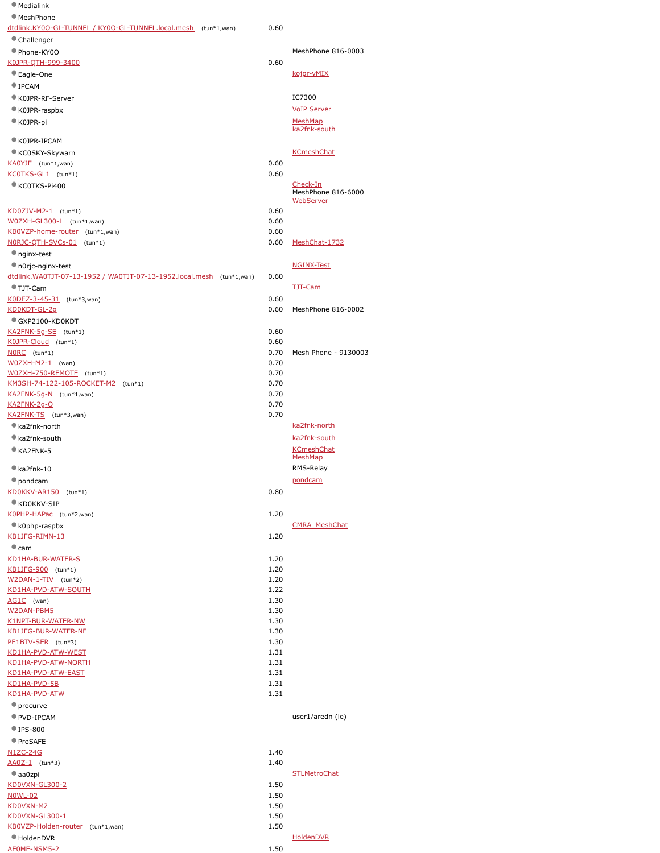| <b>Medialink</b>                                                     |              |                                   |
|----------------------------------------------------------------------|--------------|-----------------------------------|
| <b>MeshPhone</b>                                                     |              |                                   |
| dtdlink.KY0O-GL-TUNNEL / KY0O-GL-TUNNEL.local.mesh (tun*1,wan)       | 0.60         |                                   |
| Challenger                                                           |              |                                   |
| Phone-KY0O                                                           |              | MeshPhone 816-0003                |
| K0JPR-QTH-999-3400                                                   | 0.60         |                                   |
| ● Eagle-One                                                          |              | kojpr-vMIX                        |
| <b>IPCAM</b>                                                         |              |                                   |
| K0JPR-RF-Server                                                      |              | IC7300                            |
| K0JPR-raspbx                                                         |              | <b>VoIP Server</b>                |
| K0JPR-pi                                                             |              | MeshMap<br>ka2fnk-south           |
| K0JPR-IPCAM                                                          |              |                                   |
| KC0SKY-Skywarn                                                       |              | <b>KCmeshChat</b>                 |
| KAOYJE (tun*1,wan)                                                   | 0.60         |                                   |
| KCOTKS-GL1 (tun*1)                                                   | 0.60         |                                   |
| KC0TKS-Pi400                                                         |              | Check-In                          |
|                                                                      |              | MeshPhone 816-6000<br>WebServer   |
| KD0ZJV-M2-1 (tun*1)                                                  | 0.60         |                                   |
| WOZXH-GL300-L (tun*1,wan)                                            | 0.60         |                                   |
| KB0VZP-home-router (tun*1,wan)                                       | 0.60         |                                   |
| NORJC-QTH-SVCs-01 (tun*1)                                            | 0.60         | MeshChat-1732                     |
| nginx-test                                                           |              |                                   |
| n0rjc-nginx-test                                                     |              | <b>NGINX-Test</b>                 |
| dtdlink.WA0TJT-07-13-1952 / WA0TJT-07-13-1952.local.mesh (tun*1,wan) | 0.60         |                                   |
| ● TJT-Cam                                                            |              | <b>TJT-Cam</b>                    |
| K0DEZ-3-45-31 (tun*3,wan)                                            | 0.60         |                                   |
| <u>KD0KDT-GL-2g</u>                                                  | 0.60         | MeshPhone 816-0002                |
| GXP2100-KD0KDT                                                       | 0.60         |                                   |
| KA2FNK-5g-SE (tun*1)<br>KOJPR-Cloud (tun*1)                          | 0.60         |                                   |
| NORC (tun*1)                                                         | 0.70         | Mesh Phone - 9130003              |
| W0ZXH-M2-1 (wan)                                                     | 0.70         |                                   |
| W0ZXH-750-REMOTE (tun*1)                                             | 0.70         |                                   |
| KM3SH-74-122-105-ROCKET-M2 (tun*1)                                   | 0.70         |                                   |
| KA2FNK-5g-N (tun*1,wan)                                              | 0.70         |                                   |
| <u> KA2FNK-2g-O</u>                                                  | 0.70         |                                   |
| KA2FNK-TS (tun*3, wan)                                               | 0.70         |                                   |
| ka2fnk-north                                                         |              | ka2fnk-north                      |
| ka2fnk-south                                                         |              | ka2fnk-south<br><b>KCmeshChat</b> |
| KA2FNK-5                                                             |              | <b>MeshMap</b>                    |
| $\bullet$ ka2fnk-10                                                  |              | RMS-Relay                         |
| pondcam                                                              |              | pondcam                           |
| KD0KKV-AR150 (tun*1)                                                 | 0.80         |                                   |
| KD0KKV-SIP                                                           |              |                                   |
| KOPHP-HAPac (tun*2,wan)                                              | 1.20         |                                   |
| $\bullet$ k0php-raspbx                                               |              | <b>CMRA MeshChat</b>              |
| KB1JFG-RIMN-13                                                       | 1.20         |                                   |
| $\bullet$ cam                                                        |              |                                   |
| KD1HA-BUR-WATER-S                                                    | 1.20         |                                   |
| KB1JFG-900 (tun*1)<br>W2DAN-1-TIV (tun*2)                            | 1.20<br>1.20 |                                   |
| <u>KD1HA-PVD-ATW-SOUTH</u>                                           | 1.22         |                                   |
| AG1C (wan)                                                           | 1.30         |                                   |
| W2DAN-PBM5                                                           | 1.30         |                                   |
| K1NPT-BUR-WATER-NW                                                   | 1.30         |                                   |
| KB1JFG-BUR-WATER-NE                                                  | 1.30         |                                   |
| PE1BTV-SER (tun*3)                                                   | 1.30         |                                   |
| <u>KD1HA-PVD-ATW-WEST</u>                                            | 1.31         |                                   |
| KD1HA-PVD-ATW-NORTH<br>KD1HA-PVD-ATW-EAST                            | 1.31<br>1.31 |                                   |
| <u>KD1HA-PVD-5B</u>                                                  | 1.31         |                                   |
| KD1HA-PVD-ATW                                                        | 1.31         |                                   |
| • procurve                                                           |              |                                   |
| PVD-IPCAM                                                            |              | user1/aredn (ie)                  |
| $\P$ IPS-800                                                         |              |                                   |
| ProSAFE                                                              |              |                                   |
| N1ZC-24G                                                             | 1.40         |                                   |
| AA0Z-1 (tun*3)                                                       | 1.40         |                                   |
| $\bullet$ aa0zpi                                                     |              | <b>STLMetroChat</b>               |
| KD0VXN-GL300-2                                                       | 1.50         |                                   |
| <u>NOWL-02</u>                                                       | 1.50         |                                   |
| KD0VXN-M2                                                            | 1.50         |                                   |
| KD0VXN-GL300-1                                                       | 1.50         |                                   |

## [KB0VZP-Holden-router](http://kb0vzp-holden-router.local.mesh:8080/) (tun\*1,wan) 1.50 HoldenDVR [HoldenDVR](http://holdendvr.local.mesh/) [AE0ME-NSM5-2](http://ae0me-nsm5-2.local.mesh:8080/)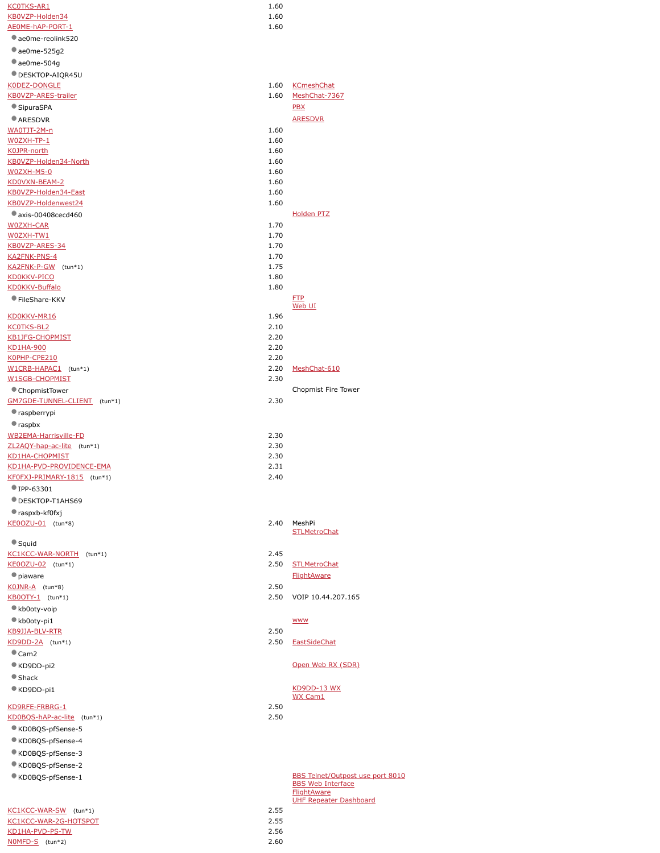| <b>KCOTKS-AR1</b>            | 1.60 |                                         |
|------------------------------|------|-----------------------------------------|
| KB0VZP-Holden34              | 1.60 |                                         |
|                              |      |                                         |
| AE0ME-hAP-PORT-1             | 1.60 |                                         |
| ae0me-reolink520             |      |                                         |
| $\bullet$ ae0me-525g2        |      |                                         |
| $\bullet$ ae0me-504g         |      |                                         |
| DESKTOP-AIQR45U              |      |                                         |
| K0DEZ-DONGLE                 | 1.60 | <b>KCmeshChat</b>                       |
| KB0VZP-ARES-trailer          | 1.60 |                                         |
|                              |      | MeshChat-7367                           |
| SipuraSPA                    |      | <b>PBX</b>                              |
| ARESDVR                      |      | <b>ARESDVR</b>                          |
| WA0TJT-2M-n                  | 1.60 |                                         |
| W0ZXH-TP-1                   | 1.60 |                                         |
| K0JPR-north                  | 1.60 |                                         |
| KB0VZP-Holden34-North        | 1.60 |                                         |
| <u>WOZXH-M5-0</u>            | 1.60 |                                         |
|                              |      |                                         |
| KD0VXN-BEAM-2                | 1.60 |                                         |
| KB0VZP-Holden34-East         | 1.60 |                                         |
| KB0VZP-Holdenwest24          | 1.60 |                                         |
| axis-00408cecd460            |      | <b>Holden PTZ</b>                       |
| W0ZXH-CAR                    | 1.70 |                                         |
| W0ZXH-TW1                    | 1.70 |                                         |
| KB0VZP-ARES-34               | 1.70 |                                         |
| KA2FNK-PNS-4                 | 1.70 |                                         |
|                              | 1.75 |                                         |
| KA2FNK-P-GW (tun*1)          |      |                                         |
| <b>KD0KKV-PICO</b>           | 1.80 |                                         |
| <b>KD0KKV-Buffalo</b>        | 1.80 |                                         |
| FileShare-KKV                |      | <b>FTP</b>                              |
|                              |      | Web UI                                  |
| KD0KKV-MR16                  | 1.96 |                                         |
| <b>KCOTKS-BL2</b>            | 2.10 |                                         |
| <b>KB1JFG-CHOPMIST</b>       | 2.20 |                                         |
| <b>KD1HA-900</b>             | 2.20 |                                         |
| K0PHP-CPE210                 | 2.20 |                                         |
| W1CRB-HAPAC1 (tun*1)         | 2.20 | MeshChat-610                            |
| W1SGB-CHOPMIST               | 2.30 |                                         |
|                              |      |                                         |
| ChopmistTower                |      | Chopmist Fire Tower                     |
| GM7GDE-TUNNEL-CLIENT (tun*1) | 2.30 |                                         |
| raspberrypi                  |      |                                         |
| $\bullet$ raspbx             |      |                                         |
| WB2EMA-Harrisville-FD        | 2.30 |                                         |
| ZL2AQY-hap-ac-lite (tun*1)   | 2.30 |                                         |
|                              |      |                                         |
| KD1HA-CHOPMIST               | 2.30 |                                         |
| KD1HA-PVD-PROVIDENCE-EMA     | 2.31 |                                         |
| KF0FXJ-PRIMARY-1815 (tun*1)  | 2.40 |                                         |
| $\P$ IPP-63301               |      |                                         |
| DESKTOP-T1AHS69              |      |                                         |
|                              |      |                                         |
| $\bullet$ raspxb-kf0fxj      |      |                                         |
| KE0OZU-01 (tun*8)            | 2.40 | MeshPi                                  |
|                              |      | <b>STLMetroChat</b>                     |
| Squid                        |      |                                         |
| KC1KCC-WAR-NORTH (tun*1)     | 2.45 |                                         |
| KE0OZU-02 (tun*1)            | 2.50 | <b>STLMetroChat</b>                     |
| · piaware                    |      | <b>FlightAware</b>                      |
| KOJNR-A (tun*8)              | 2.50 |                                         |
|                              | 2.50 | VOIP 10.44.207.165                      |
| KB0OTY-1 (tun*1)             |      |                                         |
| kb0oty-voip                  |      |                                         |
| kb0oty-pi1                   |      | <b>WWW</b>                              |
| KB9JJA-BLV-RTR               | 2.50 |                                         |
| $KDDDD-2A$ (tun*1)           | 2.50 | <b>EastSideChat</b>                     |
| $\bullet$ Cam2               |      |                                         |
|                              |      |                                         |
| KD9DD-pi2                    |      | Open Web RX (SDR)                       |
| $\blacksquare$ Shack         |      |                                         |
| ■ KD9DD-pi1                  |      | <b>KD9DD-13 WX</b>                      |
|                              |      | WX Cam1                                 |
| KD9RFE-FRBRG-1               | 2.50 |                                         |
| KD0BQS-hAP-ac-lite (tun*1)   | 2.50 |                                         |
| KD0BQS-pfSense-5             |      |                                         |
|                              |      |                                         |
| KD0BQS-pfSense-4             |      |                                         |
| KD0BQS-pfSense-3             |      |                                         |
| KD0BQS-pfSense-2             |      |                                         |
| KD0BQS-pfSense-1             |      | <b>BBS Telnet/Outpost use port 8010</b> |
|                              |      | <b>BBS Web Interface</b>                |
|                              |      | <b>FlightAware</b>                      |
|                              |      | <b>UHF Repeater Dashboard</b>           |
| KC1KCC-WAR-SW (tun*1)        |      |                                         |
|                              | 2.55 |                                         |
| KC1KCC-WAR-2G-HOTSPOT        | 2.55 |                                         |
| KD1HA-PVD-PS-TW              | 2.56 |                                         |
| NOMFD-S (tun*2)              | 2.60 |                                         |